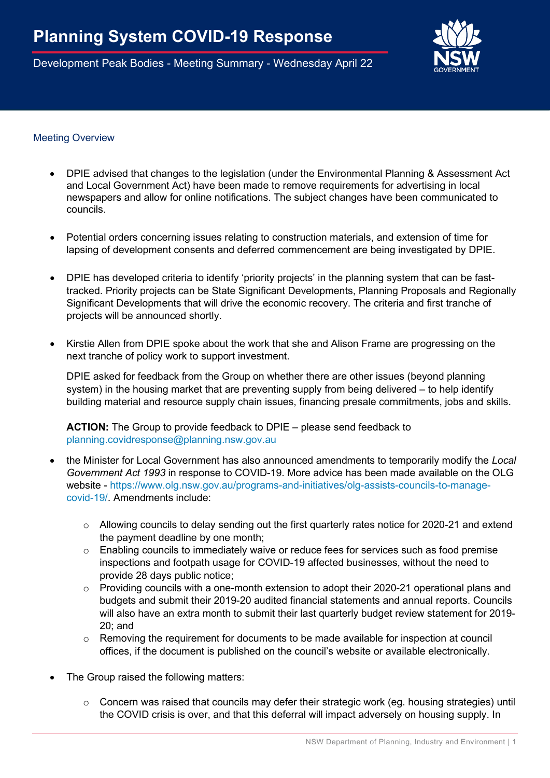Development Peak Bodies - Meeting Summary - Wednesday April 22



## Meeting Overview

- DPIE advised that changes to the legislation (under the Environmental Planning & Assessment Act and Local Government Act) have been made to remove requirements for advertising in local newspapers and allow for online notifications. The subject changes have been communicated to councils.
- Potential orders concerning issues relating to construction materials, and extension of time for lapsing of development consents and deferred commencement are being investigated by DPIE.
- DPIE has developed criteria to identify 'priority projects' in the planning system that can be fasttracked. Priority projects can be State Significant Developments, Planning Proposals and Regionally Significant Developments that will drive the economic recovery. The criteria and first tranche of projects will be announced shortly.
- Kirstie Allen from DPIE spoke about the work that she and Alison Frame are progressing on the next tranche of policy work to support investment.

DPIE asked for feedback from the Group on whether there are other issues (beyond planning system) in the housing market that are preventing supply from being delivered – to help identify building material and resource supply chain issues, financing presale commitments, jobs and skills.

**ACTION:** The Group to provide feedback to DPIE – please send feedback to [planning.covidresponse@planning.nsw.gov.au](mailto:planning.covidresponse@planning.nsw.gov.au)

- the Minister for Local Government has also announced amendments to temporarily modify the *Local Government Act 1993* in response to COVID-19. More advice has been made available on the OLG website - [https://www.olg.nsw.gov.au/programs-and-initiatives/olg-assists-councils-to-manage](https://www.olg.nsw.gov.au/programs-and-initiatives/olg-assists-councils-to-manage-covid-19/)[covid-19/.](https://www.olg.nsw.gov.au/programs-and-initiatives/olg-assists-councils-to-manage-covid-19/) Amendments include:
	- o Allowing councils to delay sending out the first quarterly rates notice for 2020-21 and extend the payment deadline by one month;
	- o Enabling councils to immediately waive or reduce fees for services such as food premise inspections and footpath usage for COVID-19 affected businesses, without the need to provide 28 days public notice;
	- o Providing councils with a one-month extension to adopt their 2020-21 operational plans and budgets and submit their 2019-20 audited financial statements and annual reports. Councils will also have an extra month to submit their last quarterly budget review statement for 2019-20; and
	- o Removing the requirement for documents to be made available for inspection at council offices, if the document is published on the council's website or available electronically.
- The Group raised the following matters:
	- $\circ$  Concern was raised that councils may defer their strategic work (eq. housing strategies) until the COVID crisis is over, and that this deferral will impact adversely on housing supply. In